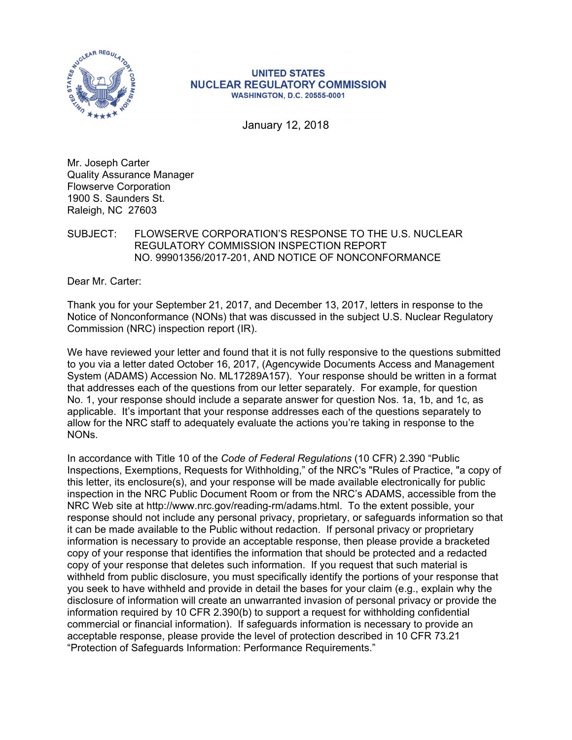

## **UNITED STATES NUCLEAR REGULATORY COMMISSION WASHINGTON, D.C. 20555-0001**

January 12, 2018

Mr. Joseph Carter Quality Assurance Manager Flowserve Corporation 1900 S. Saunders St. Raleigh, NC 27603

## SUBJECT: FLOWSERVE CORPORATION'S RESPONSE TO THE U.S. NUCLEAR REGULATORY COMMISSION INSPECTION REPORT NO. 99901356/2017-201, AND NOTICE OF NONCONFORMANCE

Dear Mr. Carter:

Thank you for your September 21, 2017, and December 13, 2017, letters in response to the Notice of Nonconformance (NONs) that was discussed in the subject U.S. Nuclear Regulatory Commission (NRC) inspection report (IR).

We have reviewed your letter and found that it is not fully responsive to the questions submitted to you via a letter dated October 16, 2017, (Agencywide Documents Access and Management System (ADAMS) Accession No. ML17289A157). Your response should be written in a format that addresses each of the questions from our letter separately. For example, for question No. 1, your response should include a separate answer for question Nos. 1a, 1b, and 1c, as applicable. It's important that your response addresses each of the questions separately to allow for the NRC staff to adequately evaluate the actions you're taking in response to the NONs.

In accordance with Title 10 of the *Code of Federal Regulations* (10 CFR) 2.390 "Public Inspections, Exemptions, Requests for Withholding," of the NRC's "Rules of Practice, "a copy of this letter, its enclosure(s), and your response will be made available electronically for public inspection in the NRC Public Document Room or from the NRC's ADAMS, accessible from the NRC Web site at http://www.nrc.gov/reading-rm/adams.html. To the extent possible, your response should not include any personal privacy, proprietary, or safeguards information so that it can be made available to the Public without redaction. If personal privacy or proprietary information is necessary to provide an acceptable response, then please provide a bracketed copy of your response that identifies the information that should be protected and a redacted copy of your response that deletes such information. If you request that such material is withheld from public disclosure, you must specifically identify the portions of your response that you seek to have withheld and provide in detail the bases for your claim (e.g., explain why the disclosure of information will create an unwarranted invasion of personal privacy or provide the information required by 10 CFR 2.390(b) to support a request for withholding confidential commercial or financial information). If safeguards information is necessary to provide an acceptable response, please provide the level of protection described in 10 CFR 73.21 "Protection of Safeguards Information: Performance Requirements."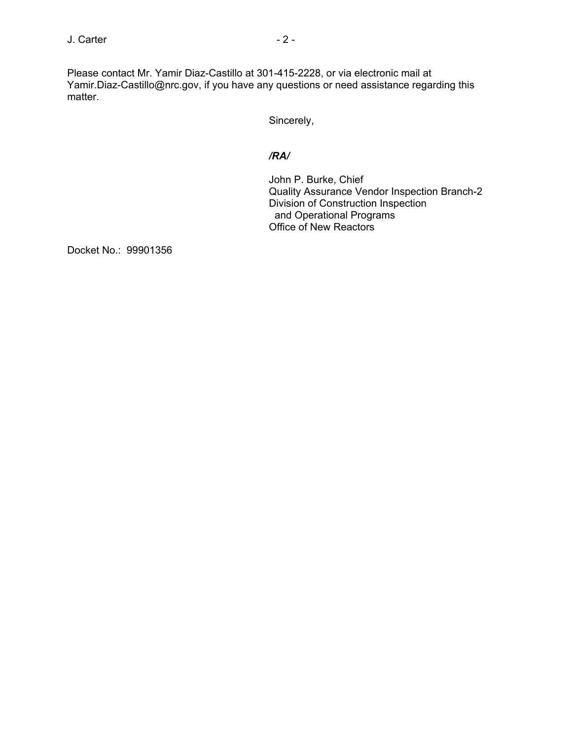Please contact Mr. Yamir Diaz-Castillo at 301-415-2228, or via electronic mail at Yamir.Diaz-Castillo@nrc.gov, if you have any questions or need assistance regarding this matter.

Sincerely,

## */RA/*

John P. Burke, Chief Quality Assurance Vendor Inspection Branch-2 Division of Construction Inspection and Operational Programs Office of New Reactors

Docket No.: 99901356